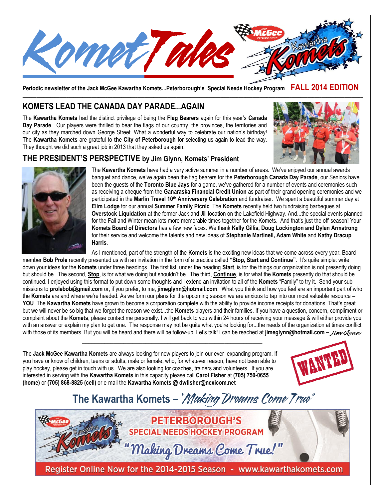

**Periodic newsletter of the Jack McGee Kawartha Komets...Peterborough's Special Needs Hockey Program FALL 2014 EDITION**

# **KOMETS LEAD THE CANADA DAY PARADE...AGAIN**

The **Kawartha Komets** had the distinct privilege of being the **Flag Bearers** again for this year's **Canada Day Parade**. Our players were thrilled to bear the flags of our country, the provinces, the territories and our city as they marched down George Street. What a wonderful way to celebrate our nation's birthday! The **Kawartha Komets** are grateful to **the City of Peterborough** for selecting us again to lead the way. They thought we did such a great job in 2013 that they asked us again.



## **THE PRESIDENT'S PERSPECTIVE by Jim Glynn, Komets' President**



The **Kawartha Komets** have had a very active summer in a number of areas. We've enjoyed our annual awards banquet and dance, we've again been the flag bearers for the **Peterborough Canada Day Parade**, our Seniors have been the guests of the **Toronto Blue Jays** for a game, we've gathered for a number of events and ceremonies such as receiving a cheque from the **Ganaraska Financial Credit Union** as part of their grand opening ceremonies and we participated in the **Marlin Travel 10th Anniversary Celebration** and fundraiser. We spent a beautiful summer day at **Elim Lodge** for our annual **Summer Family Picnic**. The **Komets** recently held two fundraising barbeques at **Overstock Liquidation** at the former Jack and Jill location on the Lakefield Highway. And...the special events planned for the Fall and Winter mean lots more memorable times together for the Komets. And that's just the off-season! Your **Komets Board of Directors** has a few new faces. We thank **Kelly Gillis, Doug Lockington and Dylan Armstrong** for their service and welcome the talents and new ideas of **Stephanie Martinell, Adam White** and **Kathy Dracup Harris.** 

As I mentioned, part of the strength of the **Komets** is the exciting new ideas that we come across every year. Board member **Bob Prole** recently presented us with an invitation in the form of a practice called **"Stop, Start and Continue"**. It's quite simple: write down your ideas for the **Komets** under three headings. The first list, under the heading **Start**, is for the things our organization is not presently doing but should be. The second, **Stop**, is for what we doing but shouldn't be. The third, **Continue**, is for what the **Komets** presently do that should be continued. I enjoyed using this format to put down some thoughts and I extend an invitation to all of the **Komets** "Family" to try it. Send your submissions to **prolebob@gmail.com** or, if you prefer, to me, **jimeglynn@hotmail.com**. What you think and how you feel are an important part of who the **Komets** are and where we're headed. As we form our plans for the upcoming season we are anxious to tap into our most valuable resource – **YOU**. The **Kawartha Komets** have grown to become a corporation complete with the ability to provide income receipts for donations. That's great but we will never be so big that we forget the reason we exist...the **Komets** players and their families. If you have a question, concern, compliment or complaint about the **Komets**, please contact me personally. I will get back to you within 24 hours of receiving your message & will either provide you with an answer or explain my plan to get one. The response may not be quite what you're looking for...the needs of the organization at times conflict with those of its members. But you will be heard and there will be follow-up. Let's talk! I can be reached at **jimeglynn@hotmail.com –** *Jim Glynn*

The **Jack McGee Kawartha Komets** are always looking for new players to join our ever- expanding program. If you have or know of children, teens or adults, male or female, who, for whatever reason, have not been able to play hockey, please get in touch with us. We are also looking for coaches, trainers and volunteers. If you are interested in serving with the **Kawartha Komets** in this capacity please call **Carol Fisher** at **(705) 750-0655 (home)** or **(705) 868-8825 (cell)** or e-mail the **Kawartha Komets @ dwfisher@nexicom.net**

\_\_\_\_\_\_\_\_\_\_\_\_\_\_\_\_\_\_\_\_\_\_\_\_\_\_\_\_\_\_\_\_\_\_\_\_\_\_\_\_\_\_\_\_\_\_\_\_\_\_\_\_\_\_\_\_\_



# **The Kawartha Komets –**